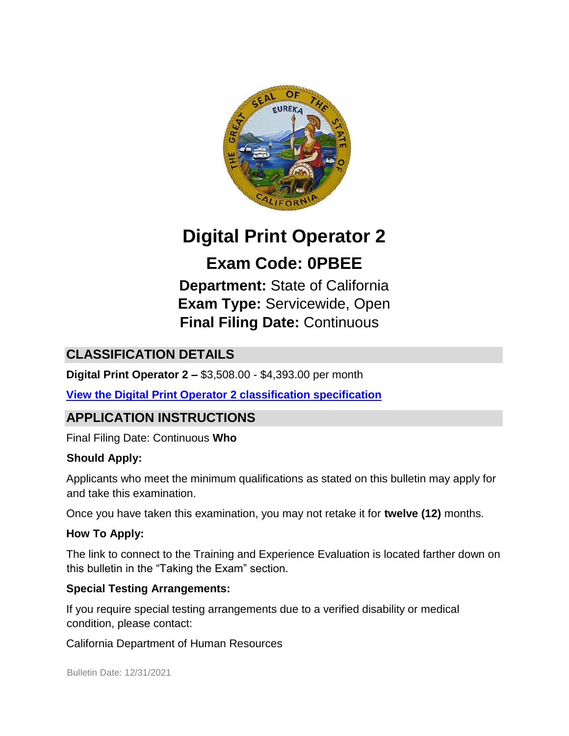

# **Digital Print Operator 2**

# **Exam Code: 0PBEE**

**Department:** State of California **Exam Type:** Servicewide, Open **Final Filing Date:** Continuous

# **CLASSIFICATION DETAILS**

**Digital Print Operator 2 –** \$3,508.00 - \$4,393.00 per month

**[View the Digital Print Operator 2](https://www.calhr.ca.gov/state-hr-professionals/Pages/1411.aspx) [classification specification](https://www.calhr.ca.gov/state-hr-professionals/Pages/1411.aspx)**

# **APPLICATION INSTRUCTIONS**

Final Filing Date: Continuous **Who** 

#### **Should Apply:**

Applicants who meet the minimum qualifications as stated on this bulletin may apply for and take this examination.

Once you have taken this examination, you may not retake it for **twelve (12)** months.

#### **How To Apply:**

The link to connect to the Training and Experience Evaluation is located farther down on this bulletin in the "Taking the Exam" section.

#### **Special Testing Arrangements:**

If you require special testing arrangements due to a verified disability or medical condition, please contact:

California Department of Human Resources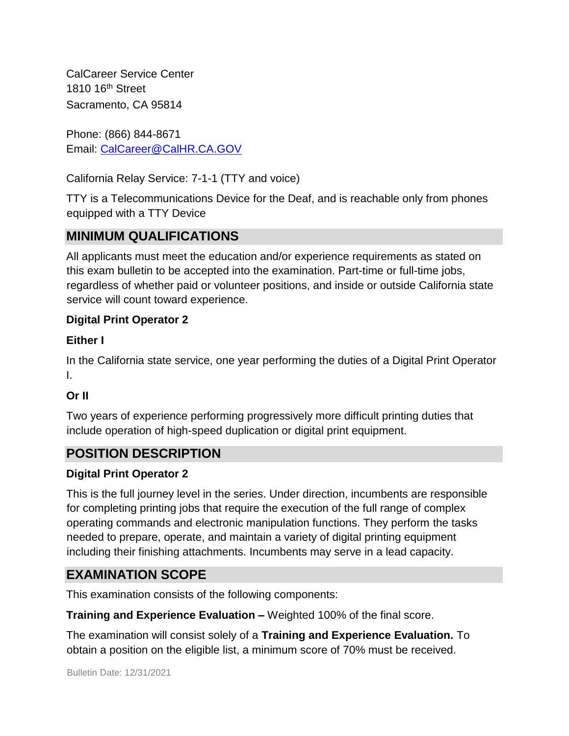CalCareer Service Center 1810 16th Street Sacramento, CA 95814

Phone: (866) 844-8671 Email: CalCareer@CalHR.CA.GOV

California Relay Service: 7-1-1 (TTY and voice)

TTY is a Telecommunications Device for the Deaf, and is reachable only from phones equipped with a TTY Device

# **MINIMUM QUALIFICATIONS**

All applicants must meet the education and/or experience requirements as stated on this exam bulletin to be accepted into the examination. Part-time or full-time jobs, regardless of whether paid or volunteer positions, and inside or outside California state service will count toward experience.

#### **Digital Print Operator 2**

#### **Either I**

In the California state service, one year performing the duties of a Digital Print Operator I.

#### **Or II**

Two years of experience performing progressively more difficult printing duties that include operation of high-speed duplication or digital print equipment.

# **POSITION DESCRIPTION**

#### **Digital Print Operator 2**

This is the full journey level in the series. Under direction, incumbents are responsible for completing printing jobs that require the execution of the full range of complex operating commands and electronic manipulation functions. They perform the tasks needed to prepare, operate, and maintain a variety of digital printing equipment including their finishing attachments. Incumbents may serve in a lead capacity.

# **EXAMINATION SCOPE**

This examination consists of the following components:

**Training and Experience Evaluation –** Weighted 100% of the final score.

The examination will consist solely of a **Training and Experience Evaluation.** To obtain a position on the eligible list, a minimum score of 70% must be received.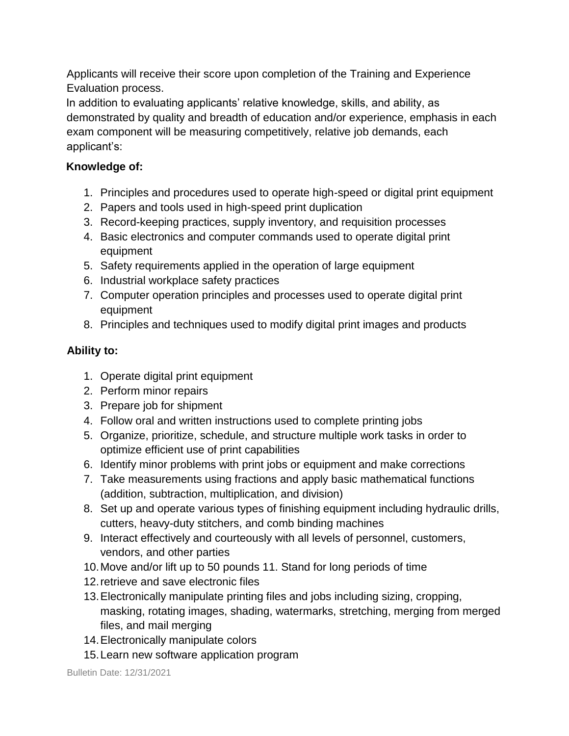Applicants will receive their score upon completion of the Training and Experience Evaluation process.

In addition to evaluating applicants' relative knowledge, skills, and ability, as demonstrated by quality and breadth of education and/or experience, emphasis in each exam component will be measuring competitively, relative job demands, each applicant's:

#### **Knowledge of:**

- 1. Principles and procedures used to operate high-speed or digital print equipment
- 2. Papers and tools used in high-speed print duplication
- 3. Record-keeping practices, supply inventory, and requisition processes
- 4. Basic electronics and computer commands used to operate digital print equipment
- 5. Safety requirements applied in the operation of large equipment
- 6. Industrial workplace safety practices
- 7. Computer operation principles and processes used to operate digital print equipment
- 8. Principles and techniques used to modify digital print images and products

#### **Ability to:**

- 1. Operate digital print equipment
- 2. Perform minor repairs
- 3. Prepare job for shipment
- 4. Follow oral and written instructions used to complete printing jobs
- 5. Organize, prioritize, schedule, and structure multiple work tasks in order to optimize efficient use of print capabilities
- 6. Identify minor problems with print jobs or equipment and make corrections
- 7. Take measurements using fractions and apply basic mathematical functions (addition, subtraction, multiplication, and division)
- 8. Set up and operate various types of finishing equipment including hydraulic drills, cutters, heavy-duty stitchers, and comb binding machines
- 9. Interact effectively and courteously with all levels of personnel, customers, vendors, and other parties
- 10.Move and/or lift up to 50 pounds 11. Stand for long periods of time
- 12.retrieve and save electronic files
- 13.Electronically manipulate printing files and jobs including sizing, cropping, masking, rotating images, shading, watermarks, stretching, merging from merged files, and mail merging
- 14.Electronically manipulate colors
- 15.Learn new software application program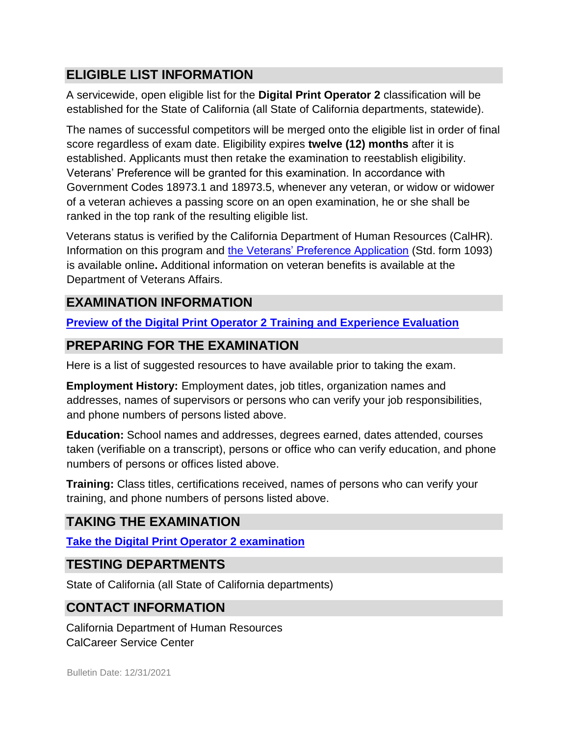# **ELIGIBLE LIST INFORMATION**

A servicewide, open eligible list for the **Digital Print Operator 2** classification will be established for the State of California (all State of California departments, statewide).

The names of successful competitors will be merged onto the eligible list in order of final score regardless of exam date. Eligibility expires **twelve (12) months** after it is established. Applicants must then retake the examination to reestablish eligibility. Veterans' Preference will be granted for this examination. In accordance with Government Codes 18973.1 and 18973.5, whenever any veteran, or widow or widower of a veteran achieves a passing score on an open examination, he or she shall be ranked in the top rank of the resulting eligible list.

Veterans status is verified by the California Department of Human Resources (CalHR). Information on this program and [the Veterans' Preference Application](https://www.jobs.ca.gov/CalHRPublic/Landing/Jobs/VeteransInformation.aspx) [\(](https://www.jobs.ca.gov/CalHRPublic/Landing/Jobs/VeteransInformation.aspx)Std. form 1093) is available online**.** Additional information on veteran benefits is available at the Department of Veterans Affairs.

# **EXAMINATION INFORMATION**

**[Preview of the](https://jobs.ca.gov/jobsgen/0PBEEa.pdf) [Digital Print Operator 2](https://jobs.ca.gov/jobsgen/0PBEEa.pdf) [Training and Experience Evaluation](https://jobs.ca.gov/jobsgen/0PBEEa.pdf)**

## **PREPARING FOR THE EXAMINATION**

Here is a list of suggested resources to have available prior to taking the exam.

**Employment History:** Employment dates, job titles, organization names and addresses, names of supervisors or persons who can verify your job responsibilities, and phone numbers of persons listed above.

**Education:** School names and addresses, degrees earned, dates attended, courses taken (verifiable on a transcript), persons or office who can verify education, and phone numbers of persons or offices listed above.

**Training:** Class titles, certifications received, names of persons who can verify your training, and phone numbers of persons listed above.

#### **TAKING THE EXAMINATION**

**[Take the](https://www.jobs.ca.gov/CalHRPublic/Login.aspx?ExamId=0PBEE) [Digital Print Operator 2](https://www.jobs.ca.gov/CalHRPublic/Login.aspx?ExamId=0PBEE) [examination](https://www.jobs.ca.gov/CalHRPublic/Login.aspx?ExamId=0PBEE)**

#### **TESTING DEPARTMENTS**

State of California (all State of California departments)

#### **CONTACT INFORMATION**

California Department of Human Resources CalCareer Service Center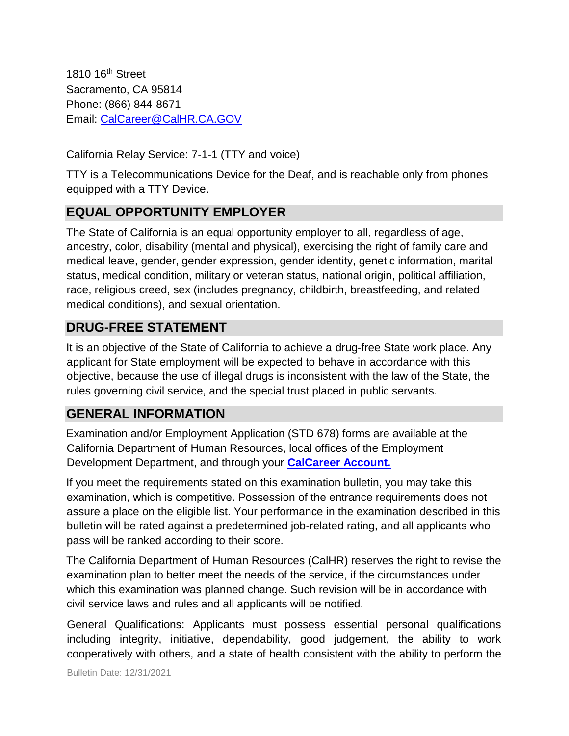1810 16<sup>th</sup> Street Sacramento, CA 95814 Phone: (866) 844-8671 Email: CalCareer@CalHR.CA.GOV

California Relay Service: 7-1-1 (TTY and voice)

TTY is a Telecommunications Device for the Deaf, and is reachable only from phones equipped with a TTY Device.

## **EQUAL OPPORTUNITY EMPLOYER**

The State of California is an equal opportunity employer to all, regardless of age, ancestry, color, disability (mental and physical), exercising the right of family care and medical leave, gender, gender expression, gender identity, genetic information, marital status, medical condition, military or veteran status, national origin, political affiliation, race, religious creed, sex (includes pregnancy, childbirth, breastfeeding, and related medical conditions), and sexual orientation.

#### **DRUG-FREE STATEMENT**

It is an objective of the State of California to achieve a drug-free State work place. Any applicant for State employment will be expected to behave in accordance with this objective, because the use of illegal drugs is inconsistent with the law of the State, the rules governing civil service, and the special trust placed in public servants.

# **GENERAL INFORMATION**

Examination and/or Employment Application (STD 678) forms are available at the California Department of Human Resources, local offices of the Employment Development Department, and through your **[CalCareer Account.](http://www.jobs.ca.gov/)**

If you meet the requirements stated on this examination bulletin, you may take this examination, which is competitive. Possession of the entrance requirements does not assure a place on the eligible list. Your performance in the examination described in this bulletin will be rated against a predetermined job-related rating, and all applicants who pass will be ranked according to their score.

The California Department of Human Resources (CalHR) reserves the right to revise the examination plan to better meet the needs of the service, if the circumstances under which this examination was planned change. Such revision will be in accordance with civil service laws and rules and all applicants will be notified.

General Qualifications: Applicants must possess essential personal qualifications including integrity, initiative, dependability, good judgement, the ability to work cooperatively with others, and a state of health consistent with the ability to perform the